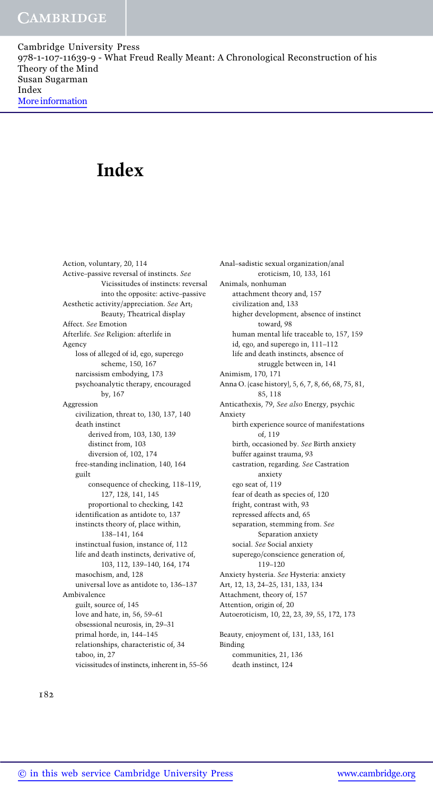# Index

Action, voluntary, 20, 114 Active–passive reversal of instincts. See Vicissitudes of instincts: reversal into the opposite: active–passive Aesthetic activity/appreciation. See Art; Beauty; Theatrical display Affect. See Emotion Afterlife. See Religion: afterlife in Agency loss of alleged of id, ego, superego scheme, 150, 167 narcissism embodying, 173 psychoanalytic therapy, encouraged by, 167 Aggression civilization, threat to, 130, 137, 140 death instinct derived from, 103, 130, 139 distinct from, 103 diversion of, 102, 174 free-standing inclination, 140, 164 guilt consequence of checking, 118–119, 127, 128, 141, 145 proportional to checking, 142 identification as antidote to, 137 instincts theory of, place within, 138–141, 164 instinctual fusion, instance of, 112 life and death instincts, derivative of, 103, 112, 139–140, 164, 174 masochism, and, 128 universal love as antidote to, 136–137 Ambivalence guilt, source of, 145 love and hate, in, 56, 59–61 obsessional neurosis, in, 29–31 primal horde, in, 144–145 relationships, characteristic of, 34 taboo, in, 27 vicissitudes of instincts, inherent in, 55–56

Anal–sadistic sexual organization/anal eroticism, 10, 133, 161 Animals, nonhuman attachment theory and, 157 civilization and, 133 higher development, absence of instinct toward, 98 human mental life traceable to, 157, 159 id, ego, and superego in, 111–112 life and death instincts, absence of struggle between in, 141 Animism, 170, 171 Anna O. (case history), 5, 6, 7, 8, 66, 68, 75, 81, 85, 118 Anticathexis, 79, See also Energy, psychic Anxiety birth experience source of manifestations of, 119 birth, occasioned by. See Birth anxiety buffer against trauma, 93 castration, regarding. See Castration anxiety ego seat of, 119 fear of death as species of, 120 fright, contrast with, 93 repressed affects and, 65 separation, stemming from. See Separation anxiety social. See Social anxiety superego/conscience generation of, 119–120 Anxiety hysteria. See Hysteria: anxiety Art, 12, 13, 24–25, 131, 133, 134 Attachment, theory of, 157 Attention, origin of, 20 Autoeroticism, 10, 22, 23, 39, 55, 172, 173 Beauty, enjoyment of, 131, 133, 161 Binding communities, 21, 136 death instinct, 124

182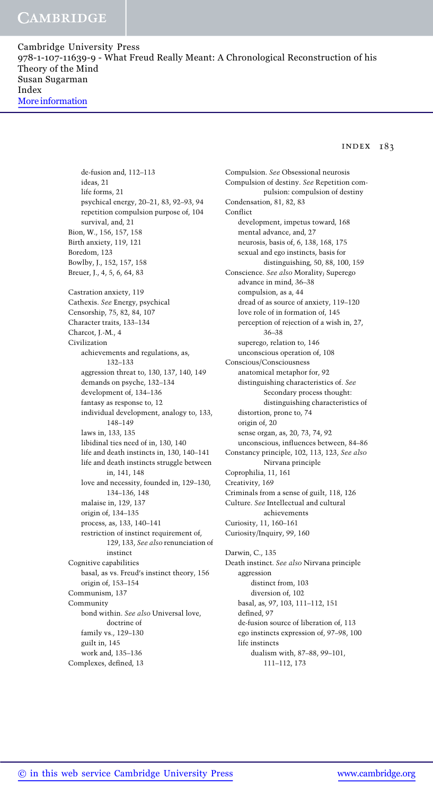#### index 183

de-fusion and, 112–113 ideas, 21 life forms, 21 psychical energy, 20–21, 83, 92–93, 94 repetition compulsion purpose of, 104 survival, and, 21 Bion, W., 156, 157, 158 Birth anxiety, 119, 121 Boredom, 123 Bowlby, J., 152, 157, 158 Breuer, J., 4, 5, 6, 64, 83 Castration anxiety, 119 Cathexis. See Energy, psychical Censorship, 75, 82, 84, 107 Character traits, 133–134 Charcot, J.-M., 4 Civilization achievements and regulations, as, 132–133 aggression threat to, 130, 137, 140, 149 demands on psyche, 132–134 development of, 134–136 fantasy as response to, 12 individual development, analogy to, 133, 148–149 laws in, 133, 135 libidinal ties need of in, 130, 140 life and death instincts in, 130, 140–141 life and death instincts struggle between in, 141, 148 love and necessity, founded in, 129–130, 134–136, 148 malaise in, 129, 137 origin of, 134–135 process, as, 133, 140–141 restriction of instinct requirement of, 129, 133, See also renunciation of instinct Cognitive capabilities basal, as vs. Freud's instinct theory, 156 origin of, 153–154 Communism, 137 Community bond within. See also Universal love, doctrine of family vs., 129–130 guilt in, 145 work and, 135–136 Complexes, defined, 13

Compulsion. See Obsessional neurosis Compulsion of destiny. See Repetition compulsion: compulsion of destiny Condensation, 81, 82, 83 Conflict development, impetus toward, 168 mental advance, and, 27 neurosis, basis of, 6, 138, 168, 175 sexual and ego instincts, basis for distinguishing, 50, 88, 100, 159 Conscience. See also Morality; Superego advance in mind, 36–38 compulsion, as a, 44 dread of as source of anxiety, 119–120 love role of in formation of, 145 perception of rejection of a wish in, 27, 36–38 superego, relation to, 146 unconscious operation of, 108 Conscious/Consciousness anatomical metaphor for, 92 distinguishing characteristics of. See Secondary process thought: distinguishing characteristics of distortion, prone to, 74 origin of, 20 sense organ, as, 20, 73, 74, 92 unconscious, influences between, 84–86 Constancy principle, 102, 113, 123, See also Nirvana principle Coprophilia, 11, 161 Creativity, 169 Criminals from a sense of guilt, 118, 126 Culture. See Intellectual and cultural achievements Curiosity, 11, 160–161 Curiosity/Inquiry, 99, 160 Darwin, C., 135 Death instinct. See also Nirvana principle aggression distinct from, 103 diversion of, 102 basal, as, 97, 103, 111–112, 151 defined, 97 de-fusion source of liberation of, 113

ego instincts expression of, 97–98, 100 life instincts dualism with, 87–88, 99–101,

111–112, 173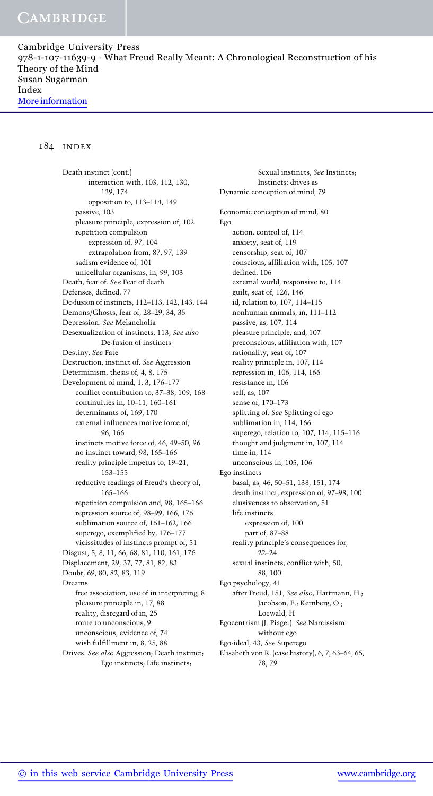#### 184 index

Death instinct (cont.) interaction with, 103, 112, 130, 139, 174 opposition to, 113–114, 149 passive, 103 pleasure principle, expression of, 102 repetition compulsion expression of, 97, 104 extrapolation from, 87, 97, 139 sadism evidence of, 101 unicellular organisms, in, 99, 103 Death, fear of. See Fear of death Defenses, defined, 77 De-fusion of instincts, 112–113, 142, 143, 144 Demons/Ghosts, fear of, 28–29, 34, 35 Depression. See Melancholia Desexualization of instincts, 113, See also De-fusion of instincts Destiny. See Fate Destruction, instinct of. See Aggression Determinism, thesis of, 4, 8, 175 Development of mind, 1, 3, 176–177 conflict contribution to, 37–38, 109, 168 continuities in, 10–11, 160–161 determinants of, 169, 170 external influences motive force of, 96, 166 instincts motive force of, 46, 49–50, 96 no instinct toward, 98, 165–166 reality principle impetus to, 19–21, 153–155 reductive readings of Freud's theory of, 165–166 repetition compulsion and, 98, 165–166 repression source of, 98–99, 166, 176 sublimation source of, 161–162, 166 superego, exemplified by, 176–177 vicissitudes of instincts prompt of, 51 Disgust, 5, 8, 11, 66, 68, 81, 110, 161, 176 Displacement, 29, 37, 77, 81, 82, 83 Doubt, 69, 80, 82, 83, 119 Dreams free association, use of in interpreting, 8 pleasure principle in, 17, 88 reality, disregard of in, 25 route to unconscious, 9 unconscious, evidence of, 74 wish fulfillment in, 8, 25, 88 Drives. See also Aggression; Death instinct; Ego instincts; Life instincts;

Sexual instincts, See Instincts; Instincts: drives as Dynamic conception of mind, 79 Economic conception of mind, 80 Ego action, control of, 114 anxiety, seat of, 119 censorship, seat of, 107 conscious, affiliation with, 105, 107 defined, 106 external world, responsive to, 114 guilt, seat of, 126, 146 id, relation to, 107, 114–115 nonhuman animals, in, 111–112 passive, as, 107, 114 pleasure principle, and, 107 preconscious, affiliation with, 107 rationality, seat of, 107 reality principle in, 107, 114 repression in, 106, 114, 166 resistance in, 106 self, as, 107 sense of, 170–173 splitting of. See Splitting of ego sublimation in, 114, 166 superego, relation to, 107, 114, 115–116 thought and judgment in, 107, 114 time in, 114 unconscious in, 105, 106 Ego instincts basal, as, 46, 50–51, 138, 151, 174 death instinct, expression of, 97–98, 100 elusiveness to observation, 51 life instincts expression of, 100 part of, 87–88 reality principle's consequences for,  $22 - 24$ sexual instincts, conflict with, 50, 88, 100 Ego psychology, 41 after Freud, 151, See also, Hartmann, H.; Jacobson, E.; Kernberg, O.; Loewald, H Egocentrism (J. Piaget). See Narcissism: without ego Ego-ideal, 43, See Superego Elisabeth von R. (case history), 6, 7, 63–64, 65,

78, 79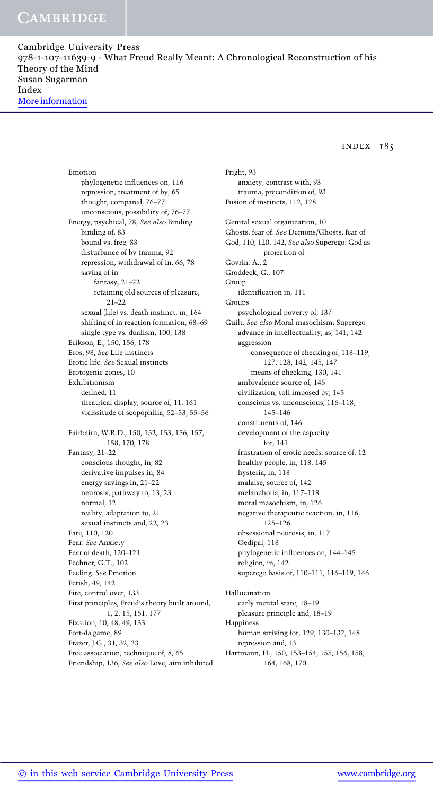### index 185

Emotion phylogenetic influences on, 116 repression, treatment of by, 65 thought, compared, 76–77 unconscious, possibility of, 76–77 Energy, psychical, 78, See also Binding binding of, 83 bound vs. free, 83 disturbance of by trauma, 92 repression, withdrawal of in, 66, 78 saving of in fantasy, 21–22 retaining old sources of pleasure, 21–22 sexual (life) vs. death instinct, in, 164 shifting of in reaction formation, 68–69 single type vs. dualism, 100, 138 Erikson, E., 150, 156, 178 Eros, 98, See Life instincts Erotic life. See Sexual instincts Erotogenic zones, 10 Exhibitionism defined, 11 theatrical display, source of, 11, 161 vicissitude of scopophilia, 52–53, 55–56 Fairbairn, W.R.D., 150, 152, 153, 156, 157, 158, 170, 178 Fantasy, 21–22 conscious thought, in, 82 derivative impulses in, 84 energy savings in, 21–22 neurosis, pathway to, 13, 23 normal, 12 reality, adaptation to, 21 sexual instincts and, 22, 23 Fate, 110, 120 Fear. See Anxiety Fear of death, 120–121 Fechner, G.T., 102 Feeling. See Emotion Fetish, 49, 142 Fire, control over, 133 First principles, Freud's theory built around, 1, 2, 15, 151, 177 Fixation, 10, 48, 49, 133 Fort-da game, 89 Frazer, J.G., 31, 32, 33 Free association, technique of, 8, 65 Friendship, 136, See also Love, aim inhibited Fright, 93 anxiety, contrast with, 93 trauma, precondition of, 93 Fusion of instincts, 112, 128 Genital sexual organization, 10 Ghosts, fear of. See Demons/Ghosts, fear of God, 110, 120, 142, See also Superego: God as projection of Govrin, A., 2 Groddeck, G., 107 Group identification in, 111 Groups psychological poverty of, 137 Guilt. See also Moral masochism; Superego advance in intellectuality, as, 141, 142 aggression consequence of checking of, 118–119, 127, 128, 142, 145, 147 means of checking, 130, 141 ambivalence source of, 145 civilization, toll imposed by, 145 conscious vs. unconscious, 116–118, 145–146 constituents of, 146 development of the capacity for, 141 frustration of erotic needs, source of, 12 healthy people, in, 118, 145 hysteria, in, 118 malaise, source of, 142 melancholia, in, 117–118 moral masochism, in, 126 negative therapeutic reaction, in, 116, 125–126 obsessional neurosis, in, 117 Oedipal, 118 phylogenetic influences on, 144–145 religion, in, 142 superego basis of, 110–111, 116–119, 146 Hallucination early mental state, 18–19 pleasure principle and, 18–19 Happiness human striving for, 129, 130–132, 148 repression and, 13 Hartmann, H., 150, 153–154, 155, 156, 158,

164, 168, 170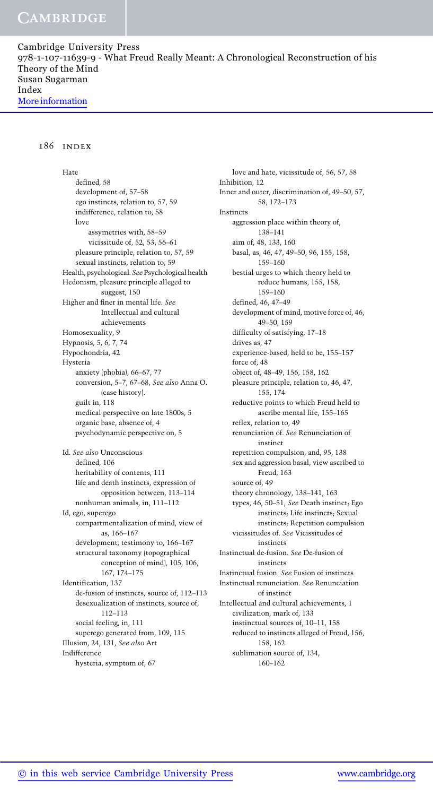#### 186 index

Hate defined, 58 development of, 57–58 ego instincts, relation to, 57, 59 indifference, relation to, 58 love assymetries with, 58–59 vicissitude of, 52, 53, 56–61 pleasure principle, relation to, 57, 59 sexual instincts, relation to, 59 Health, psychological. SeePsychological health Hedonism, pleasure principle alleged to suggest, 150 Higher and finer in mental life. See Intellectual and cultural achievements Homosexuality, 9 Hypnosis, 5, 6, 7, 74 Hypochondria, 42 Hysteria anxiety (phobia), 66–67, 77 conversion, 5–7, 67–68, See also Anna O. (case history). guilt in, 118 medical perspective on late 1800s, 5 organic base, absence of, 4 psychodynamic perspective on, 5 Id. See also Unconscious defined, 106 heritability of contents, 111 life and death instincts, expression of opposition between, 113–114 nonhuman animals, in, 111–112 Id, ego, superego compartmentalization of mind, view of as, 166–167 development, testimony to, 166–167 structural taxonomy (topographical conception of mind), 105, 106, 167, 174–175 Identification, 137 de-fusion of instincts, source of, 112–113 desexualization of instincts, source of, 112–113 social feeling, in, 111 superego generated from, 109, 115 Illusion, 24, 131, See also Art Indifference hysteria, symptom of, 67

love and hate, vicissitude of, 56, 57, 58 Inhibition, 12 Inner and outer, discrimination of, 49–50, 57, 58, 172–173 Instincts aggression place within theory of, 138–141 aim of, 48, 133, 160 basal, as, 46, 47, 49–50, 96, 155, 158, 159–160 bestial urges to which theory held to reduce humans, 155, 158, 159–160 defined, 46, 47–49 development of mind, motive force of, 46, 49–50, 159 difficulty of satisfying, 17–18 drives as, 47 experience-based, held to be, 155–157 force of, 48 object of, 48–49, 156, 158, 162 pleasure principle, relation to, 46, 47, 155, 174 reductive points to which Freud held to ascribe mental life, 155–165 reflex, relation to, 49 renunciation of. See Renunciation of instinct repetition compulsion, and, 95, 138 sex and aggression basal, view ascribed to Freud, 163 source of, 49 theory chronology, 138–141, 163 types, 46, 50–51, See Death instinct; Ego instincts; Life instincts; Sexual instincts; Repetition compulsion vicissitudes of. See Vicissitudes of instincts Instinctual de-fusion. See De-fusion of instincts Instinctual fusion. See Fusion of instincts Instinctual renunciation. See Renunciation of instinct Intellectual and cultural achievements, 1 civilization, mark of, 133 instinctual sources of, 10–11, 158 reduced to instincts alleged of Freud, 156, 158, 162 sublimation source of, 134, 160–162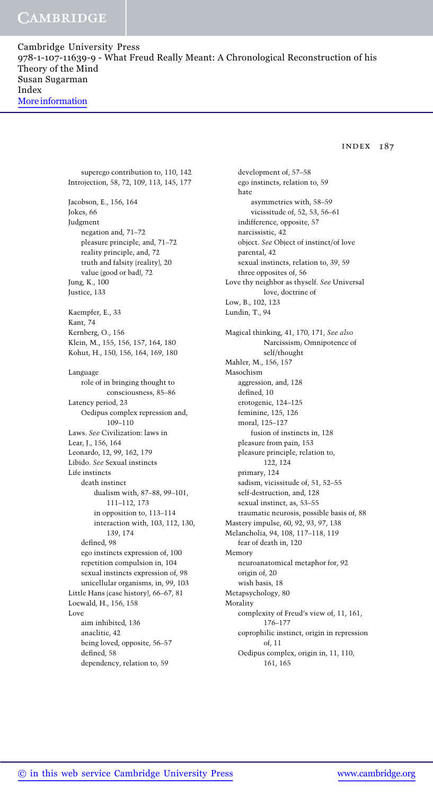index 187

superego contribution to, 110, 142 Introjection, 58, 72, 109, 113, 145, 177 Jacobson, E., 156, 164 Jokes, 66 Judgment negation and, 71–72 pleasure principle, and, 71–72 reality principle, and, 72 truth and falsity (reality), 20 value (good or bad), 72 Jung, K., 100 Justice, 133 Kaempfer, E., 33 Kant, 74 Kernberg, O., 156 Klein, M., 155, 156, 157, 164, 180 Kohut, H., 150, 156, 164, 169, 180 Language role of in bringing thought to consciousness, 85–86 Latency period, 23 Oedipus complex repression and, 109–110 Laws. See Civilization: laws in Lear, J., 156, 164 Leonardo, 12, 99, 162, 179 Libido. See Sexual instincts Life instincts death instinct dualism with, 87–88, 99–101, 111–112, 173 in opposition to, 113–114 interaction with, 103, 112, 130, 139, 174 defined, 98 ego instincts expression of, 100 repetition compulsion in, 104 sexual instincts expression of, 98 unicellular organisms, in, 99, 103 Little Hans (case history), 66–67, 81 Loewald, H., 156, 158 Love aim inhibited, 136 anaclitic, 42 being loved, opposite, 56–57 defined, 58 dependency, relation to, 59

development of, 57–58 ego instincts, relation to, 59 hate asymmetries with, 58–59 vicissitude of, 52, 53, 56–61 indifference, opposite, 57 narcissistic, 42 object. See Object of instinct/of love parental, 42 sexual instincts, relation to, 39, 59 three opposites of, 56 Love thy neighbor as thyself. See Universal love, doctrine of Low, B., 102, 123 Lundin, T., 94 Magical thinking, 41, 170, 171, See also Narcissism; Omnipotence of self/thought Mahler, M., 156, 157 Masochism aggression, and, 128 defined, 10 erotogenic, 124–125 feminine, 125, 126 moral, 125–127 fusion of instincts in, 128 pleasure from pain, 153 pleasure principle, relation to, 122, 124 primary, 124 sadism, vicissitude of, 51, 52–55 self-destruction, and, 128 sexual instinct, as, 53–55 traumatic neurosis, possible basis of, 88 Mastery impulse, 60, 92, 93, 97, 138 Melancholia, 94, 108, 117–118, 119 fear of death in, 120 Memory neuroanatomical metaphor for, 92 origin of, 20 wish basis, 18 Metapsychology, 80 Morality complexity of Freud's view of, 11, 161, 176–177 coprophilic instinct, origin in repression of, 11 Oedipus complex, origin in, 11, 110, 161, 165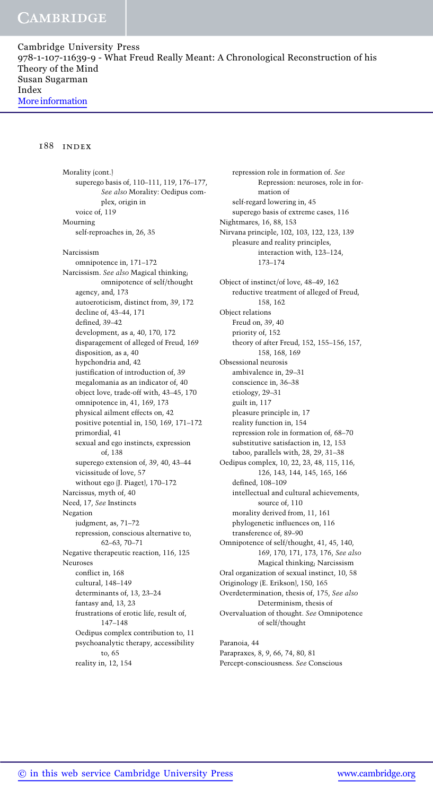## **CAMBRIDGE**

Cambridge University Press 978-1-107-11639-9 - What Freud Really Meant: A Chronological Reconstruction of his Theory of the Mind Susan Sugarman Index More information

#### 188 index

Morality (cont.) superego basis of, 110–111, 119, 176–177, See also Morality: Oedipus complex, origin in voice of, 119 Mourning self-reproaches in, 26, 35 Narcissism omnipotence in, 171–172 Narcissism. See also Magical thinking; omnipotence of self/thought agency, and, 173 autoeroticism, distinct from, 39, 172 decline of, 43–44, 171 defined, 39–42 development, as a, 40, 170, 172 disparagement of alleged of Freud, 169 disposition, as a, 40 hypchondria and, 42 justification of introduction of, 39 megalomania as an indicator of, 40 object love, trade-off with, 43–45, 170 omnipotence in, 41, 169, 173 physical ailment effects on, 42 positive potential in, 150, 169, 171–172 primordial, 41 sexual and ego instincts, expression of, 138 superego extension of, 39, 40, 43–44 vicissitude of love, 57 without ego (J. Piaget), 170–172 Narcissus, myth of, 40 Need, 17, See Instincts Negation judgment, as, 71–72 repression, conscious alternative to, 62–63, 70–71 Negative therapeutic reaction, 116, 125 Neuroses conflict in, 168 cultural, 148–149 determinants of, 13, 23–24 fantasy and, 13, 23 frustrations of erotic life, result of, 147–148 Oedipus complex contribution to, 11 psychoanalytic therapy, accessibility to, 65 reality in, 12, 154

repression role in formation of. See Repression: neuroses, role in formation of self-regard lowering in, 45 superego basis of extreme cases, 116 Nightmares, 16, 88, 153 Nirvana principle, 102, 103, 122, 123, 139 pleasure and reality principles, interaction with, 123–124, 173–174 Object of instinct/of love, 48–49, 162 reductive treatment of alleged of Freud, 158, 162 Object relations Freud on, 39, 40 priority of, 152 theory of after Freud, 152, 155–156, 157, 158, 168, 169 Obsessional neurosis ambivalence in, 29–31 conscience in, 36–38 etiology, 29–31 guilt in, 117 pleasure principle in, 17 reality function in, 154 repression role in formation of, 68–70 substitutive satisfaction in, 12, 153 taboo, parallels with, 28, 29, 31–38 Oedipus complex, 10, 22, 23, 48, 115, 116, 126, 143, 144, 145, 165, 166 defined, 108–109 intellectual and cultural achievements, source of, 110 morality derived from, 11, 161 phylogenetic influences on, 116 transference of, 89–90 Omnipotence of self/thought, 41, 45, 140, 169, 170, 171, 173, 176, See also Magical thinking; Narcissism Oral organization of sexual instinct, 10, 58 Originology (E. Erikson), 150, 165 Overdetermination, thesis of, 175, See also Determinism, thesis of Overvaluation of thought. See Omnipotence of self/thought Paranoia, 44

Parapraxes, 8, 9, 66, 74, 80, 81 Percept-consciousness. See Conscious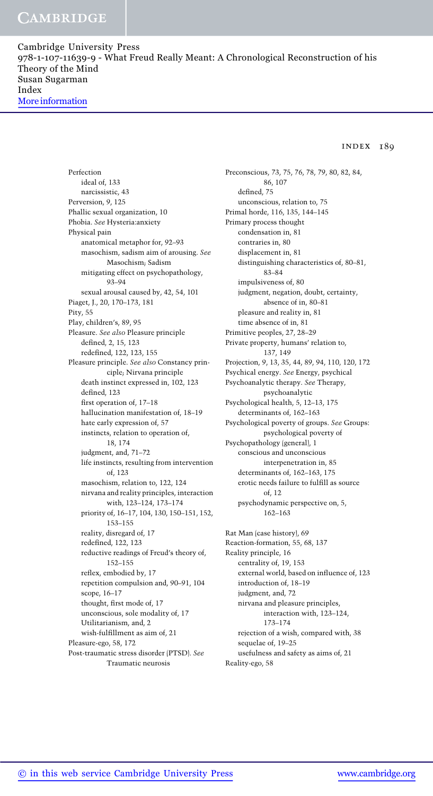index 189

Perfection ideal of, 133 narcissistic, 43 Perversion, 9, 125 Phallic sexual organization, 10 Phobia. See Hysteria:anxiety Physical pain anatomical metaphor for, 92–93 masochism, sadism aim of arousing. See Masochism; Sadism mitigating effect on psychopathology, 93–94 sexual arousal caused by, 42, 54, 101 Piaget, J., 20, 170–173, 181 Pity, 55 Play, children's, 89, 95 Pleasure. See also Pleasure principle defined, 2, 15, 123 redefined, 122, 123, 155 Pleasure principle. See also Constancy principle; Nirvana principle death instinct expressed in, 102, 123 defined, 123 first operation of, 17–18 hallucination manifestation of, 18–19 hate early expression of, 57 instincts, relation to operation of, 18, 174 judgment, and, 71–72 life instincts, resulting from intervention of, 123 masochism, relation to, 122, 124 nirvana and reality principles, interaction with, 123–124, 173–174 priority of, 16–17, 104, 130, 150–151, 152, 153–155 reality, disregard of, 17 redefined, 122, 123 reductive readings of Freud's theory of, 152–155 reflex, embodied by, 17 repetition compulsion and, 90–91, 104 scope, 16–17 thought, first mode of, 17 unconscious, sole modality of, 17 Utilitarianism, and, 2 wish-fulfillment as aim of, 21 Pleasure-ego, 58, 172 Post-traumatic stress disorder (PTSD). See Traumatic neurosis

Preconscious, 73, 75, 76, 78, 79, 80, 82, 84, 86, 107 defined, 75 unconscious, relation to, 75 Primal horde, 116, 135, 144–145 Primary process thought condensation in, 81 contraries in, 80 displacement in, 81 distinguishing characteristics of, 80–81, 83–84 impulsiveness of, 80 judgment, negation, doubt, certainty, absence of in, 80–81 pleasure and reality in, 81 time absence of in, 81 Primitive peoples, 27, 28–29 Private property, humans' relation to, 137, 149 Projection, 9, 13, 35, 44, 89, 94, 110, 120, 172 Psychical energy. See Energy, psychical Psychoanalytic therapy. See Therapy, psychoanalytic Psychological health, 5, 12–13, 175 determinants of, 162–163 Psychological poverty of groups. See Groups: psychological poverty of Psychopathology (general), 1 conscious and unconscious interpenetration in, 85 determinants of, 162–163, 175 erotic needs failure to fulfill as source of, 12 psychodynamic perspective on, 5, 162–163 Rat Man (case history), 69 Reaction-formation, 55, 68, 137 Reality principle, 16 centrality of, 19, 153

external world, based on influence of, 123 introduction of, 18–19 judgment, and, 72 nirvana and pleasure principles, interaction with, 123–124, 173–174 rejection of a wish, compared with, 38 sequelae of, 19–25 usefulness and safety as aims of, 21 Reality-ego, 58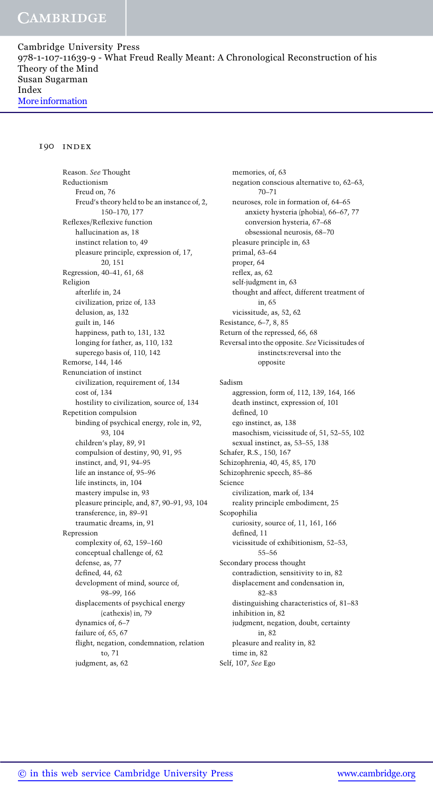#### 190 index

Reason. See Thought Reductionism Freud on, 76 Freud's theory held to be an instance of, 2, 150–170, 177 Reflexes/Reflexive function hallucination as, 18 instinct relation to, 49 pleasure principle, expression of, 17, 20, 151 Regression, 40–41, 61, 68 Religion afterlife in, 24 civilization, prize of, 133 delusion, as, 132 guilt in, 146 happiness, path to, 131, 132 longing for father, as, 110, 132 superego basis of, 110, 142 Remorse, 144, 146 Renunciation of instinct civilization, requirement of, 134 cost of, 134 hostility to civilization, source of, 134 Repetition compulsion binding of psychical energy, role in, 92, 93, 104 children's play, 89, 91 compulsion of destiny, 90, 91, 95 instinct, and, 91, 94–95 life an instance of, 95–96 life instincts, in, 104 mastery impulse in, 93 pleasure principle, and, 87, 90–91, 93, 104 transference, in, 89–91 traumatic dreams, in, 91 Repression complexity of, 62, 159–160 conceptual challenge of, 62 defense, as, 77 defined, 44, 62 development of mind, source of, 98–99, 166 displacements of psychical energy (cathexis) in, 79 dynamics of, 6–7 failure of, 65, 67 flight, negation, condemnation, relation to, 71 judgment, as, 62

memories, of, 63 negation conscious alternative to, 62–63, 70–71 neuroses, role in formation of, 64–65 anxiety hysteria (phobia), 66–67, 77 conversion hysteria, 67–68 obsessional neurosis, 68–70 pleasure principle in, 63 primal, 63–64 proper, 64 reflex, as, 62 self-judgment in, 63 thought and affect, different treatment of in, 65 vicissitude, as, 52, 62 Resistance, 6–7, 8, 85 Return of the repressed, 66, 68 Reversal into the opposite. See Vicissitudes of instincts:reversal into the opposite Sadism aggression, form of, 112, 139, 164, 166 death instinct, expression of, 101 defined, 10 ego instinct, as, 138 masochism, vicissitude of, 51, 52–55, 102 sexual instinct, as, 53–55, 138 Schafer, R.S., 150, 167 Schizophrenia, 40, 45, 85, 170 Schizophrenic speech, 85–86 Science civilization, mark of, 134 reality principle embodiment, 25 Scopophilia curiosity, source of, 11, 161, 166 defined, 11 vicissitude of exhibitionism, 52–53, 55–56 Secondary process thought contradiction, sensitivity to in, 82 displacement and condensation in, 82–83 distinguishing characteristics of, 81–83 inhibition in, 82 judgment, negation, doubt, certainty in, 82 pleasure and reality in, 82 time in, 82 Self, 107, See Ego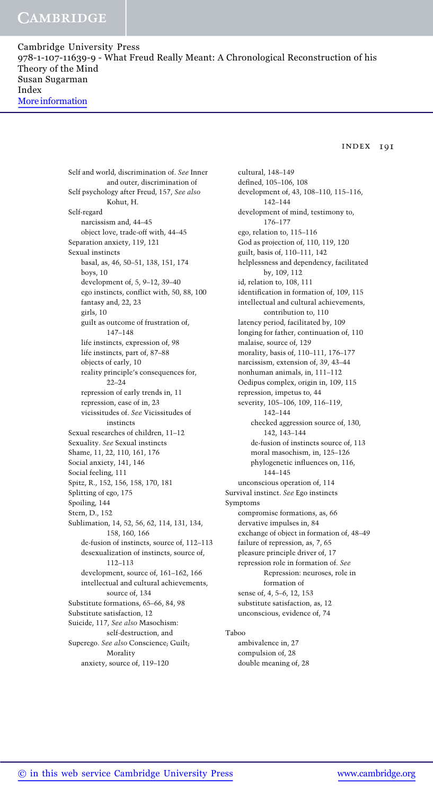## **CAMBRIDGE**

Cambridge University Press 978-1-107-11639-9 - What Freud Really Meant: A Chronological Reconstruction of his Theory of the Mind Susan Sugarman Index More information

index 191

Self and world, discrimination of. See Inner and outer, discrimination of Self psychology after Freud, 157, See also Kohut, H. Self-regard narcissism and, 44–45 object love, trade-off with, 44–45 Separation anxiety, 119, 121 Sexual instincts basal, as, 46, 50–51, 138, 151, 174 boys, 10 development of, 5, 9–12, 39–40 ego instincts, conflict with, 50, 88, 100 fantasy and, 22, 23 girls, 10 guilt as outcome of frustration of, 147–148 life instincts, expression of, 98 life instincts, part of, 87–88 objects of early, 10 reality principle's consequences for, 22–24 repression of early trends in, 11 repression, ease of in, 23 vicissitudes of. See Vicissitudes of instincts Sexual researches of children, 11–12 Sexuality. See Sexual instincts Shame, 11, 22, 110, 161, 176 Social anxiety, 141, 146 Social feeling, 111 Spitz, R., 152, 156, 158, 170, 181 Splitting of ego, 175 Spoiling, 144 Stern, D., 152 Sublimation, 14, 52, 56, 62, 114, 131, 134, 158, 160, 166 de-fusion of instincts, source of, 112–113 desexualization of instincts, source of, 112–113 development, source of, 161–162, 166 intellectual and cultural achievements, source of, 134 Substitute formations, 65–66, 84, 98 Substitute satisfaction, 12 Suicide, 117, See also Masochism: self-destruction, and Superego. See also Conscience; Guilt; Morality anxiety, source of, 119–120

cultural, 148–149 defined, 105–106, 108 development of, 43, 108–110, 115–116, 142–144 development of mind, testimony to, 176–177 ego, relation to, 115–116 God as projection of, 110, 119, 120 guilt, basis of, 110–111, 142 helplessness and dependency, facilitated by, 109, 112 id, relation to, 108, 111 identification in formation of, 109, 115 intellectual and cultural achievements, contribution to, 110 latency period, facilitated by, 109 longing for father, continuation of, 110 malaise, source of, 129 morality, basis of, 110–111, 176–177 narcissism, extension of, 39, 43–44 nonhuman animals, in, 111–112 Oedipus complex, origin in, 109, 115 repression, impetus to, 44 severity, 105–106, 109, 116–119, 142–144 checked aggression source of, 130, 142, 143–144 de-fusion of instincts source of, 113 moral masochism, in, 125–126 phylogenetic influences on, 116, 144–145 unconscious operation of, 114 Survival instinct. See Ego instincts Symptoms compromise formations, as, 66 dervative impulses in, 84 exchange of object in formation of, 48–49 failure of repression, as, 7, 65 pleasure principle driver of, 17 repression role in formation of. See Repression: neuroses, role in formation of sense of, 4, 5–6, 12, 153 substitute satisfaction, as, 12 unconscious, evidence of, 74

#### Taboo

ambivalence in, 27 compulsion of, 28 double meaning of, 28